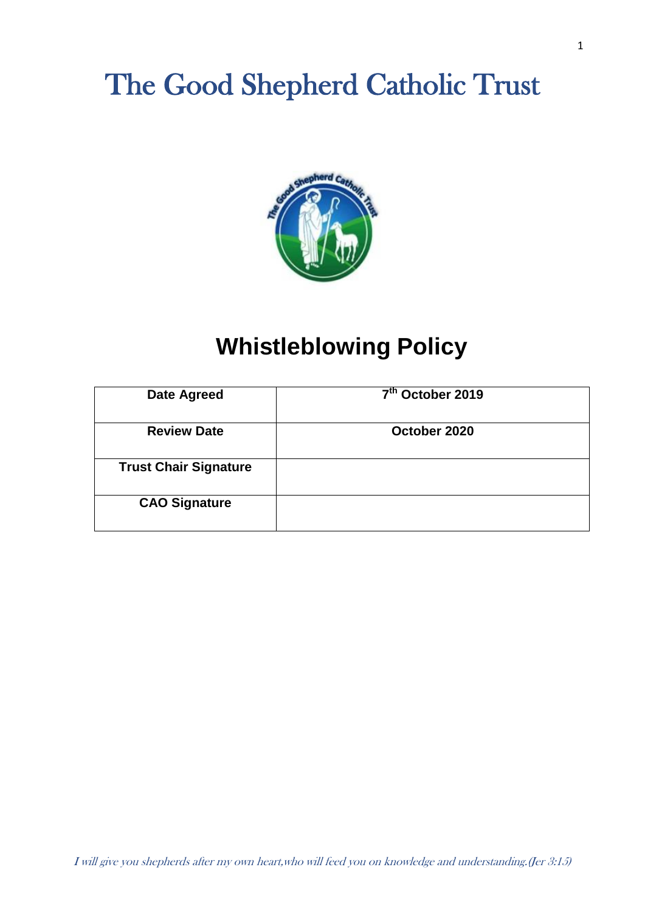# The Good Shepherd Catholic Trust



# **Whistleblowing Policy**

| <b>Date Agreed</b>           | 7 <sup>th</sup> October 2019 |
|------------------------------|------------------------------|
| <b>Review Date</b>           | October 2020                 |
| <b>Trust Chair Signature</b> |                              |
| <b>CAO Signature</b>         |                              |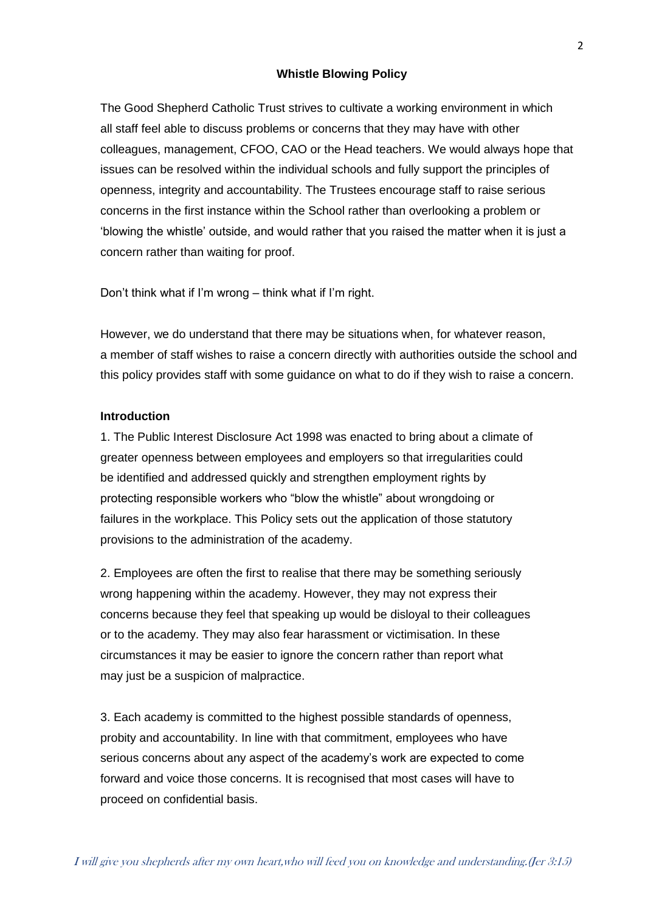#### **Whistle Blowing Policy**

The Good Shepherd Catholic Trust strives to cultivate a working environment in which all staff feel able to discuss problems or concerns that they may have with other colleagues, management, CFOO, CAO or the Head teachers. We would always hope that issues can be resolved within the individual schools and fully support the principles of openness, integrity and accountability. The Trustees encourage staff to raise serious concerns in the first instance within the School rather than overlooking a problem or 'blowing the whistle' outside, and would rather that you raised the matter when it is just a concern rather than waiting for proof.

Don't think what if I'm wrong – think what if I'm right.

However, we do understand that there may be situations when, for whatever reason, a member of staff wishes to raise a concern directly with authorities outside the school and this policy provides staff with some guidance on what to do if they wish to raise a concern.

# **Introduction**

1. The Public Interest Disclosure Act 1998 was enacted to bring about a climate of greater openness between employees and employers so that irregularities could be identified and addressed quickly and strengthen employment rights by protecting responsible workers who "blow the whistle" about wrongdoing or failures in the workplace. This Policy sets out the application of those statutory provisions to the administration of the academy.

2. Employees are often the first to realise that there may be something seriously wrong happening within the academy. However, they may not express their concerns because they feel that speaking up would be disloyal to their colleagues or to the academy. They may also fear harassment or victimisation. In these circumstances it may be easier to ignore the concern rather than report what may just be a suspicion of malpractice.

3. Each academy is committed to the highest possible standards of openness, probity and accountability. In line with that commitment, employees who have serious concerns about any aspect of the academy's work are expected to come forward and voice those concerns. It is recognised that most cases will have to proceed on confidential basis.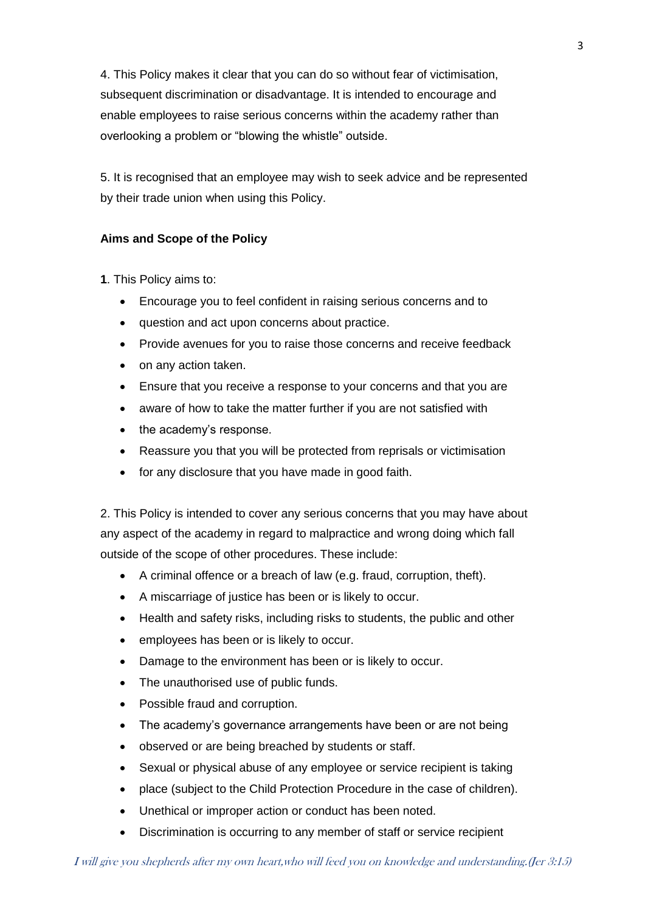4. This Policy makes it clear that you can do so without fear of victimisation, subsequent discrimination or disadvantage. It is intended to encourage and enable employees to raise serious concerns within the academy rather than overlooking a problem or "blowing the whistle" outside.

5. It is recognised that an employee may wish to seek advice and be represented by their trade union when using this Policy.

# **Aims and Scope of the Policy**

**1**. This Policy aims to:

- Encourage you to feel confident in raising serious concerns and to
- question and act upon concerns about practice.
- Provide avenues for you to raise those concerns and receive feedback
- on any action taken.
- Ensure that you receive a response to your concerns and that you are
- aware of how to take the matter further if you are not satisfied with
- the academy's response.
- Reassure you that you will be protected from reprisals or victimisation
- for any disclosure that you have made in good faith.

2. This Policy is intended to cover any serious concerns that you may have about any aspect of the academy in regard to malpractice and wrong doing which fall outside of the scope of other procedures. These include:

- A criminal offence or a breach of law (e.g. fraud, corruption, theft).
- A miscarriage of justice has been or is likely to occur.
- Health and safety risks, including risks to students, the public and other
- employees has been or is likely to occur.
- Damage to the environment has been or is likely to occur.
- The unauthorised use of public funds.
- Possible fraud and corruption.
- The academy's governance arrangements have been or are not being
- observed or are being breached by students or staff.
- Sexual or physical abuse of any employee or service recipient is taking
- place (subject to the Child Protection Procedure in the case of children).
- Unethical or improper action or conduct has been noted.
- Discrimination is occurring to any member of staff or service recipient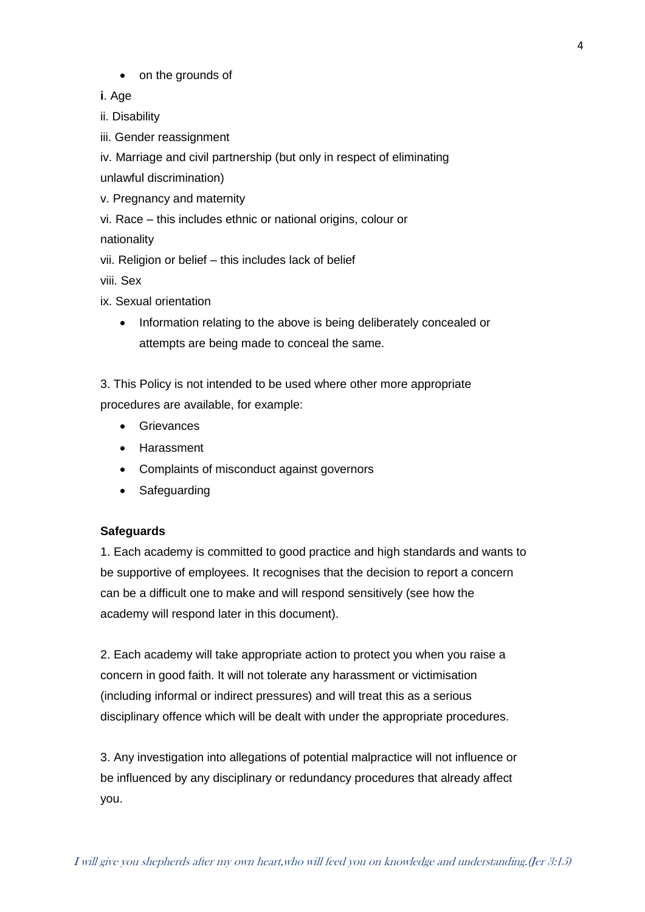• on the grounds of

**i**. Age

ii. Disability

iii. Gender reassignment

iv. Marriage and civil partnership (but only in respect of eliminating

unlawful discrimination)

v. Pregnancy and maternity

vi. Race – this includes ethnic or national origins, colour or

nationality

vii. Religion or belief – this includes lack of belief

viii. Sex

ix. Sexual orientation

• Information relating to the above is being deliberately concealed or attempts are being made to conceal the same.

3. This Policy is not intended to be used where other more appropriate procedures are available, for example:

- **•** Grievances
- Harassment
- Complaints of misconduct against governors
- Safeguarding

# **Safeguards**

1. Each academy is committed to good practice and high standards and wants to be supportive of employees. It recognises that the decision to report a concern can be a difficult one to make and will respond sensitively (see how the academy will respond later in this document).

2. Each academy will take appropriate action to protect you when you raise a concern in good faith. It will not tolerate any harassment or victimisation (including informal or indirect pressures) and will treat this as a serious disciplinary offence which will be dealt with under the appropriate procedures.

3. Any investigation into allegations of potential malpractice will not influence or be influenced by any disciplinary or redundancy procedures that already affect you.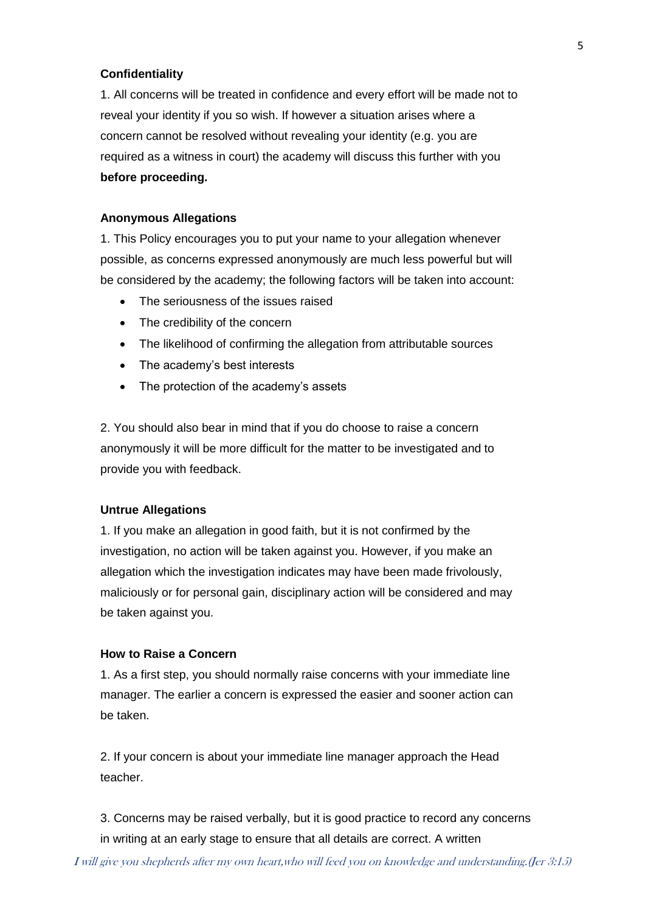# **Confidentiality**

1. All concerns will be treated in confidence and every effort will be made not to reveal your identity if you so wish. If however a situation arises where a concern cannot be resolved without revealing your identity (e.g. you are required as a witness in court) the academy will discuss this further with you **before proceeding.**

#### **Anonymous Allegations**

1. This Policy encourages you to put your name to your allegation whenever possible, as concerns expressed anonymously are much less powerful but will be considered by the academy; the following factors will be taken into account:

- The seriousness of the issues raised
- The credibility of the concern
- The likelihood of confirming the allegation from attributable sources
- The academy's best interests
- The protection of the academy's assets

2. You should also bear in mind that if you do choose to raise a concern anonymously it will be more difficult for the matter to be investigated and to provide you with feedback.

#### **Untrue Allegations**

1. If you make an allegation in good faith, but it is not confirmed by the investigation, no action will be taken against you. However, if you make an allegation which the investigation indicates may have been made frivolously, maliciously or for personal gain, disciplinary action will be considered and may be taken against you.

#### **How to Raise a Concern**

1. As a first step, you should normally raise concerns with your immediate line manager. The earlier a concern is expressed the easier and sooner action can be taken.

2. If your concern is about your immediate line manager approach the Head teacher.

3. Concerns may be raised verbally, but it is good practice to record any concerns in writing at an early stage to ensure that all details are correct. A written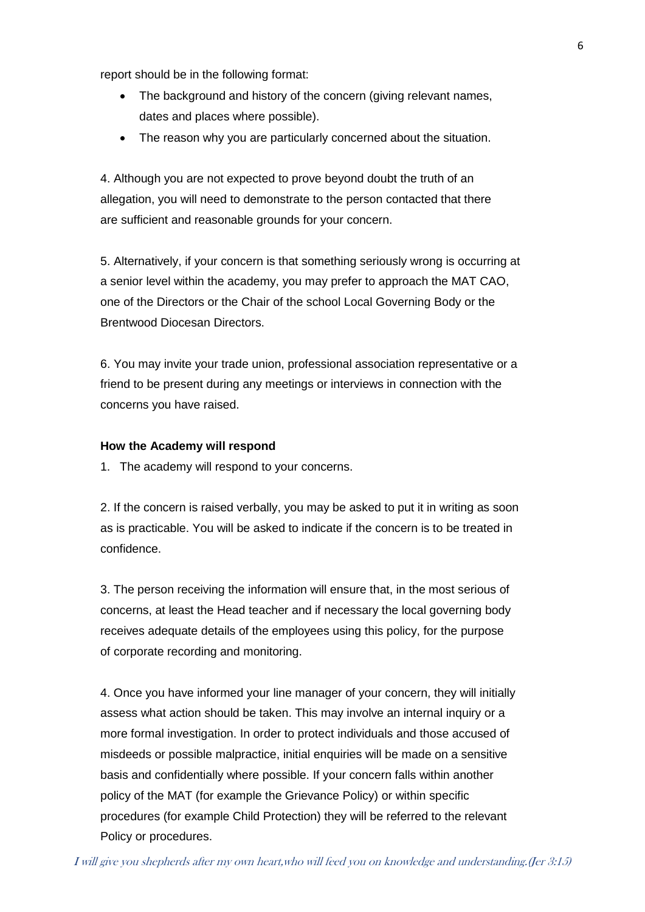report should be in the following format:

- The background and history of the concern (giving relevant names, dates and places where possible).
- The reason why you are particularly concerned about the situation.

4. Although you are not expected to prove beyond doubt the truth of an allegation, you will need to demonstrate to the person contacted that there are sufficient and reasonable grounds for your concern.

5. Alternatively, if your concern is that something seriously wrong is occurring at a senior level within the academy, you may prefer to approach the MAT CAO, one of the Directors or the Chair of the school Local Governing Body or the Brentwood Diocesan Directors.

6. You may invite your trade union, professional association representative or a friend to be present during any meetings or interviews in connection with the concerns you have raised.

#### **How the Academy will respond**

1. The academy will respond to your concerns.

2. If the concern is raised verbally, you may be asked to put it in writing as soon as is practicable. You will be asked to indicate if the concern is to be treated in confidence.

3. The person receiving the information will ensure that, in the most serious of concerns, at least the Head teacher and if necessary the local governing body receives adequate details of the employees using this policy, for the purpose of corporate recording and monitoring.

4. Once you have informed your line manager of your concern, they will initially assess what action should be taken. This may involve an internal inquiry or a more formal investigation. In order to protect individuals and those accused of misdeeds or possible malpractice, initial enquiries will be made on a sensitive basis and confidentially where possible. If your concern falls within another policy of the MAT (for example the Grievance Policy) or within specific procedures (for example Child Protection) they will be referred to the relevant Policy or procedures.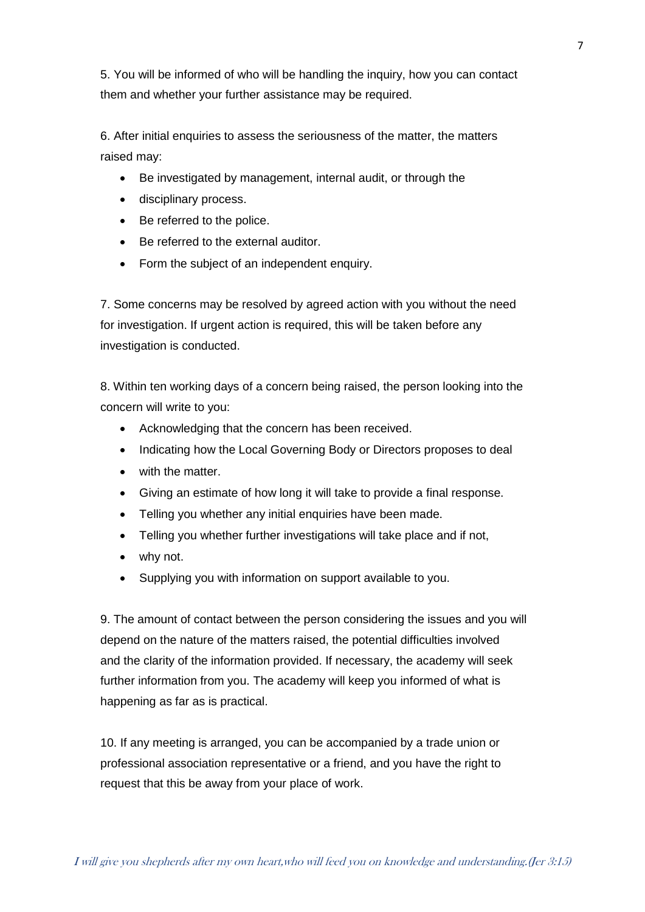5. You will be informed of who will be handling the inquiry, how you can contact them and whether your further assistance may be required.

6. After initial enquiries to assess the seriousness of the matter, the matters raised may:

- Be investigated by management, internal audit, or through the
- disciplinary process.
- Be referred to the police.
- Be referred to the external auditor.
- Form the subject of an independent enquiry.

7. Some concerns may be resolved by agreed action with you without the need for investigation. If urgent action is required, this will be taken before any investigation is conducted.

8. Within ten working days of a concern being raised, the person looking into the concern will write to you:

- Acknowledging that the concern has been received.
- Indicating how the Local Governing Body or Directors proposes to deal
- with the matter.
- Giving an estimate of how long it will take to provide a final response.
- Telling you whether any initial enquiries have been made.
- Telling you whether further investigations will take place and if not,
- why not.
- Supplying you with information on support available to you.

9. The amount of contact between the person considering the issues and you will depend on the nature of the matters raised, the potential difficulties involved and the clarity of the information provided. If necessary, the academy will seek further information from you. The academy will keep you informed of what is happening as far as is practical.

10. If any meeting is arranged, you can be accompanied by a trade union or professional association representative or a friend, and you have the right to request that this be away from your place of work.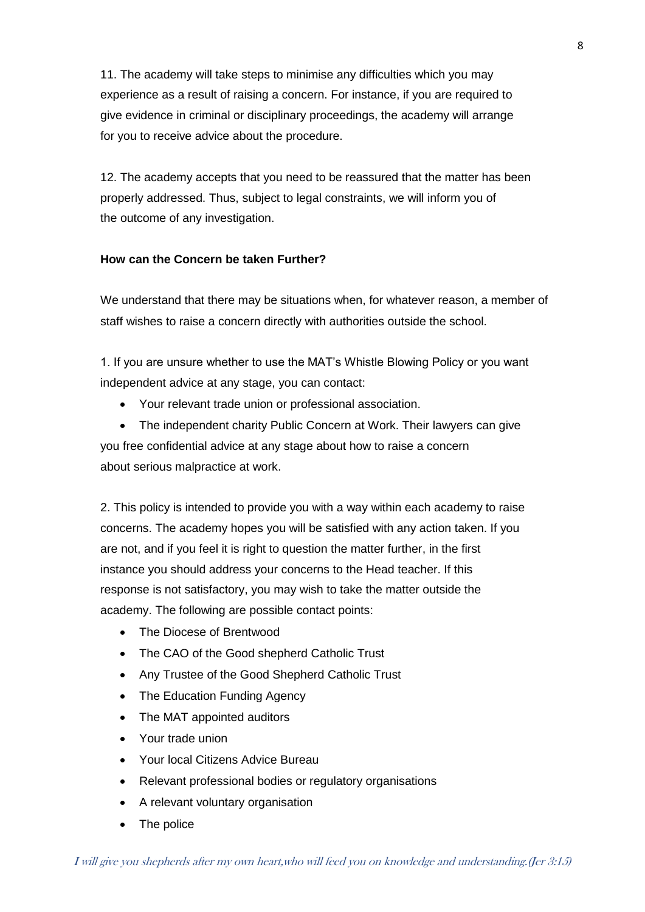11. The academy will take steps to minimise any difficulties which you may experience as a result of raising a concern. For instance, if you are required to give evidence in criminal or disciplinary proceedings, the academy will arrange for you to receive advice about the procedure.

12. The academy accepts that you need to be reassured that the matter has been properly addressed. Thus, subject to legal constraints, we will inform you of the outcome of any investigation.

# **How can the Concern be taken Further?**

We understand that there may be situations when, for whatever reason, a member of staff wishes to raise a concern directly with authorities outside the school.

1. If you are unsure whether to use the MAT's Whistle Blowing Policy or you want independent advice at any stage, you can contact:

- Your relevant trade union or professional association.
- The independent charity Public Concern at Work. Their lawyers can give you free confidential advice at any stage about how to raise a concern about serious malpractice at work.

2. This policy is intended to provide you with a way within each academy to raise concerns. The academy hopes you will be satisfied with any action taken. If you are not, and if you feel it is right to question the matter further, in the first instance you should address your concerns to the Head teacher. If this response is not satisfactory, you may wish to take the matter outside the academy. The following are possible contact points:

- The Diocese of Brentwood
- The CAO of the Good shepherd Catholic Trust
- Any Trustee of the Good Shepherd Catholic Trust
- The Education Funding Agency
- The MAT appointed auditors
- Your trade union
- Your local Citizens Advice Bureau
- Relevant professional bodies or regulatory organisations
- A relevant voluntary organisation
- The police